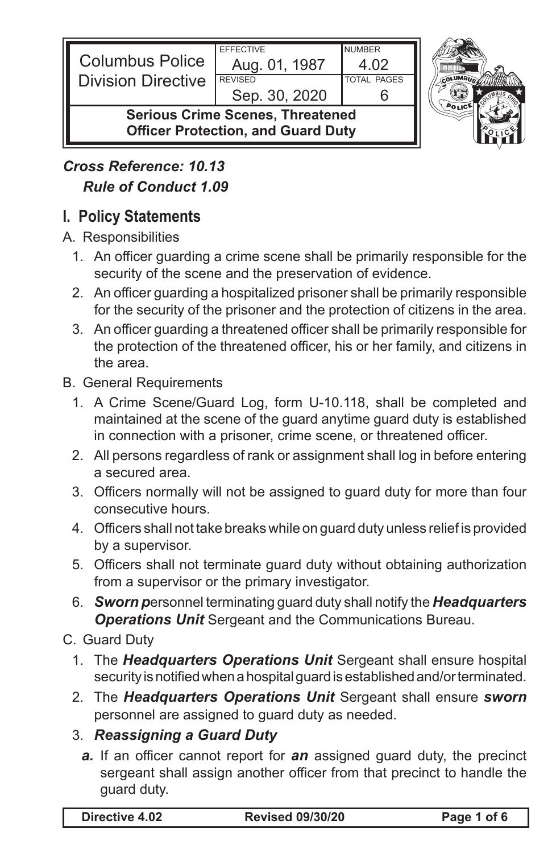| <b>Columbus Police</b><br><b>I</b> Division Directive                                | <b>EFFECTIVE</b><br>Aug. 01, 1987<br><b>REVISED</b><br>Sep. 30, 2020 | <b>NUMBER</b><br><b>TOTAL PAGES</b> |  |
|--------------------------------------------------------------------------------------|----------------------------------------------------------------------|-------------------------------------|--|
| <b>Serious Crime Scenes, Threatened</b><br><b>Officer Protection, and Guard Duty</b> |                                                                      |                                     |  |

# *Cross Reference: 10.13 Rule of Conduct 1.09*

## **I. Policy Statements**

A. Responsibilities

- 1. An officer guarding a crime scene shall be primarily responsible for the security of the scene and the preservation of evidence.
- 2. An officer guarding a hospitalized prisoner shall be primarily responsible for the security of the prisoner and the protection of citizens in the area.
- 3. An officer guarding a threatened officer shall be primarily responsible for the protection of the threatened officer, his or her family, and citizens in the area.
- B. General Requirements
	- 1. A Crime Scene/Guard Log, form U-10.118, shall be completed and maintained at the scene of the guard anytime guard duty is established in connection with a prisoner, crime scene, or threatened officer.
	- 2. All persons regardless of rank or assignment shall log in before entering a secured area.
	- 3. Officers normally will not be assigned to quard duty for more than four consecutive hours.
	- 4. Officers shall not take breaks while on guard duty unless relief is provided by a supervisor.
	- 5. Officers shall not terminate guard duty without obtaining authorization from a supervisor or the primary investigator.
	- 6. *Sworn p*ersonnel terminating guard duty shall notify the *Headquarters Operations Unit* Sergeant and the Communications Bureau.

#### C. Guard Duty

- 1. The **Headquarters Operations Unit** Sergeant shall ensure hospital security is notified when a hospital guard is established and/or terminated.
- 2. The **Headquarters Operations Unit** Sergeant shall ensure *sworn* personnel are assigned to guard duty as needed.
- 3. *Reassigning a Guard Duty*
	- *a.* If an officer cannot report for *an* assigned guard duty, the precinct sergeant shall assign another officer from that precinct to handle the guard duty.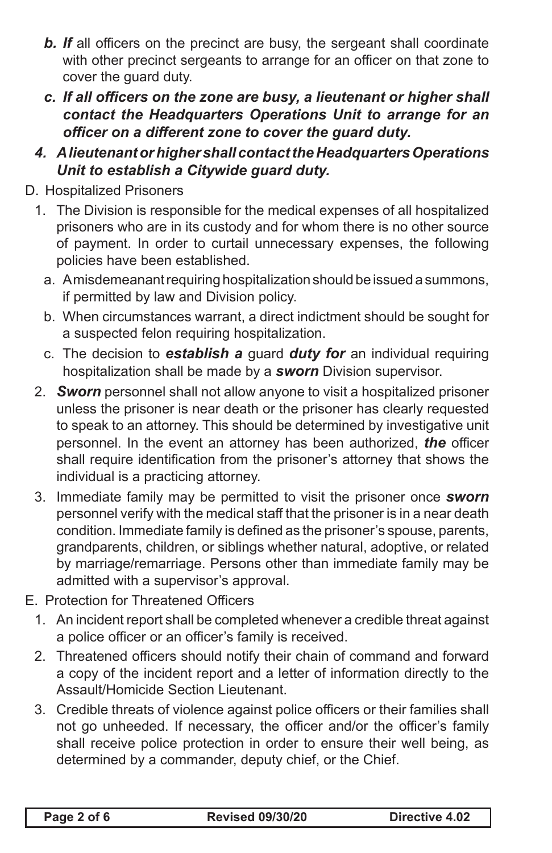- *b. If* all officers on the precinct are busy, the sergeant shall coordinate with other precinct sergeants to arrange for an officer on that zone to cover the guard duty.
- *c. If all officers on the zone are busy, a lieutenant or higher shall contact the Headquarters Operations Unit to arrange for an officer on a different zone to cover the guard duty.*
- *4. AlieutenantorhighershallcontacttheHeadquartersOperations Unit to establish a Citywide guard duty.*
- D. Hospitalized Prisoners
	- 1. The Division is responsible for the medical expenses of all hospitalized prisoners who are in its custody and for whom there is no other source of payment. In order to curtail unnecessary expenses, the following policies have been established.
		- a. Amisdemeanant requiring hospitalization should be issued a summons, if permitted by law and Division policy.
		- b. When circumstances warrant, a direct indictment should be sought for a suspected felon requiring hospitalization.
		- c. The decision to *establish a* guard *duty for* an individual requiring hospitalization shall be made by a *sworn* Division supervisor.
	- 2. *Sworn* personnel shall not allow anyone to visit a hospitalized prisoner unless the prisoner is near death or the prisoner has clearly requested to speak to an attorney. This should be determined by investigative unit personnel. In the event an attorney has been authorized, *the* officer shall require identification from the prisoner's attorney that shows the individual is a practicing attorney.
	- 3. Immediate family may be permitted to visit the prisoner once *sworn* personnel verify with the medical staff that the prisoner is in a near death condition. Immediate family is defined as the prisoner's spouse, parents, grandparents, children, or siblings whether natural, adoptive, or related by marriage/remarriage. Persons other than immediate family may be admitted with a supervisor's approval.
- E. Protection for Threatened Officers
	- 1. An incident report shall be completed whenever a credible threat against a police officer or an officer's family is received.
	- 2. Threatened officers should notify their chain of command and forward a copy of the incident report and a letter of information directly to the Assault/Homicide Section Lieutenant.
	- 3. Credible threats of violence against police officers or their families shall not go unheeded. If necessary, the officer and/or the officer's family shall receive police protection in order to ensure their well being, as determined by a commander, deputy chief, or the Chief.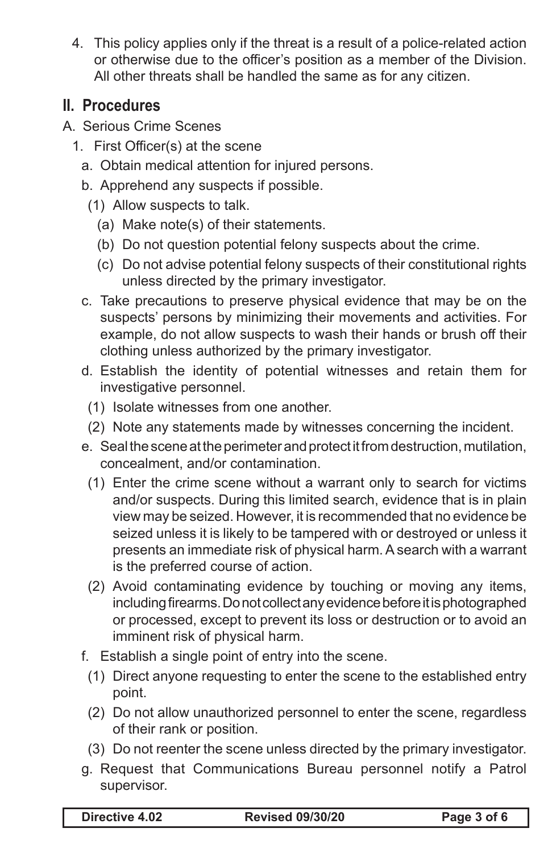4. This policy applies only if the threat is a result of a police-related action or otherwise due to the officer's position as a member of the Division. All other threats shall be handled the same as for any citizen.

### **II. Procedures**

- A. Serious Crime Scenes
	- 1. First Officer(s) at the scene
		- a. Obtain medical attention for injured persons.
		- b. Apprehend any suspects if possible.
			- (1) Allow suspects to talk.
				- (a) Make note(s) of their statements.
				- (b) Do not question potential felony suspects about the crime.
				- (c) Do not advise potential felony suspects of their constitutional rights unless directed by the primary investigator.
		- c. Take precautions to preserve physical evidence that may be on the suspects' persons by minimizing their movements and activities. For example, do not allow suspects to wash their hands or brush off their clothing unless authorized by the primary investigator.
		- d. Establish the identity of potential witnesses and retain them for investigative personnel.
			- (1) Isolate witnesses from one another.
			- (2) Note any statements made by witnesses concerning the incident.
		- e. Seal the scene at the perimeter and protect it from destruction, mutilation, concealment, and/or contamination.
		- (1) Enter the crime scene without a warrant only to search for victims and/or suspects. During this limited search, evidence that is in plain view may be seized. However, it is recommended that no evidence be seized unless it is likely to be tampered with or destroyed or unless it presents an immediate risk of physical harm. A search with a warrant is the preferred course of action.
		- (2) Avoid contaminating evidence by touching or moving any items, including firearms. Do not collect any evidence before it is photographed or processed, except to prevent its loss or destruction or to avoid an imminent risk of physical harm.
		- f. Establish a single point of entry into the scene.
			- (1) Direct anyone requesting to enter the scene to the established entry point.
			- (2) Do not allow unauthorized personnel to enter the scene, regardless of their rank or position.
			- (3) Do not reenter the scene unless directed by the primary investigator.
		- g. Request that Communications Bureau personnel notify a Patrol supervisor.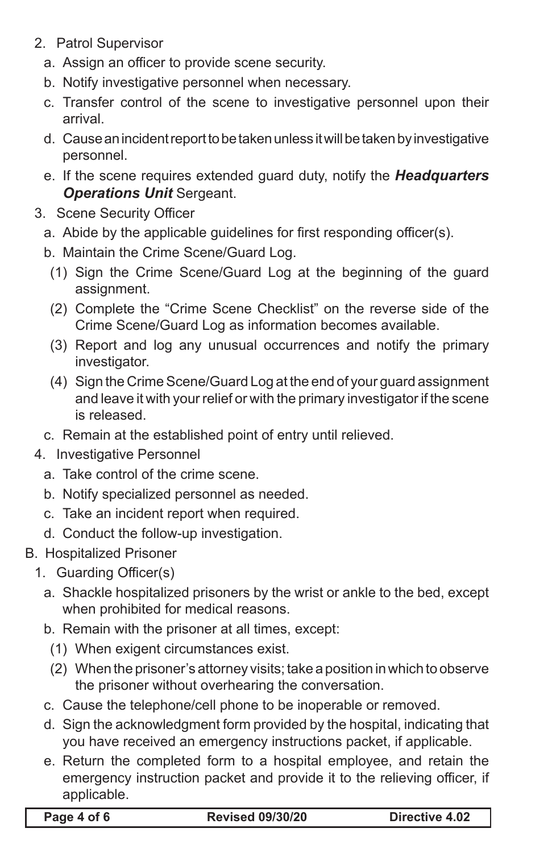- 2. Patrol Supervisor
	- a. Assign an officer to provide scene security.
	- b. Notify investigative personnel when necessary.
	- c. Transfer control of the scene to investigative personnel upon their arrival.
	- d. Cause an incident report to be taken unless it will be taken by investigative personnel.
	- e. If the scene requires extended guard duty, notify the *Headquarters Operations Unit* Sergeant.
- 3. Scene Security Officer
	- a. Abide by the applicable quidelines for first responding officer(s).
	- b. Maintain the Crime Scene/Guard Log.
	- (1) Sign the Crime Scene/Guard Log at the beginning of the guard assignment.
	- (2) Complete the "Crime Scene Checklist" on the reverse side of the Crime Scene/Guard Log as information becomes available.
	- (3) Report and log any unusual occurrences and notify the primary investigator.
	- (4) Sign the Crime Scene/Guard Log at the end of your guard assignment and leave it with your relief or with the primary investigator if the scene is released.
	- c. Remain at the established point of entry until relieved.
- 4. Investigative Personnel
	- a. Take control of the crime scene.
	- b. Notify specialized personnel as needed.
	- c. Take an incident report when required.
	- d. Conduct the follow-up investigation.
- B. Hospitalized Prisoner
	- 1. Guarding Officer(s)
		- a. Shackle hospitalized prisoners by the wrist or ankle to the bed, except when prohibited for medical reasons.
		- b. Remain with the prisoner at all times, except:
		- (1) When exigent circumstances exist.
		- (2) When the prisoner's attorney visits; take a position in which to observe the prisoner without overhearing the conversation.
		- c. Cause the telephone/cell phone to be inoperable or removed.
		- d. Sign the acknowledgment form provided by the hospital, indicating that you have received an emergency instructions packet, if applicable.
		- e. Return the completed form to a hospital employee, and retain the emergency instruction packet and provide it to the relieving officer, if applicable.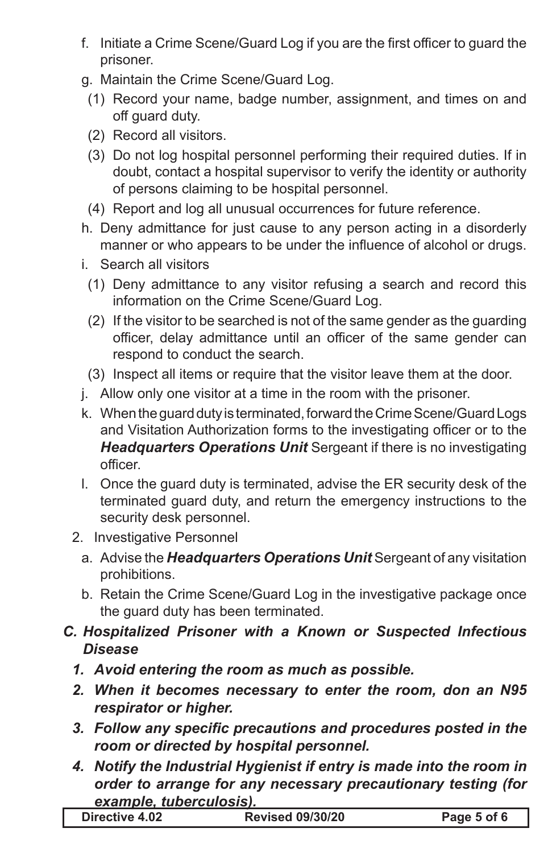- f. Initiate a Crime Scene/Guard Log if you are the first officer to guard the prisoner.
- g. Maintain the Crime Scene/Guard Log.
- (1) Record your name, badge number, assignment, and times on and off guard duty.
- (2) Record all visitors.
- (3) Do not log hospital personnel performing their required duties. If in doubt, contact a hospital supervisor to verify the identity or authority of persons claiming to be hospital personnel.
- (4) Report and log all unusual occurrences for future reference.
- h. Deny admittance for just cause to any person acting in a disorderly manner or who appears to be under the influence of alcohol or drugs.
- i. Search all visitors
- (1) Deny admittance to any visitor refusing a search and record this information on the Crime Scene/Guard Log.
- (2) If the visitor to be searched is not of the same gender as the guarding officer, delay admittance until an officer of the same gender can respond to conduct the search.
- (3) Inspect all items or require that the visitor leave them at the door.
- j. Allow only one visitor at a time in the room with the prisoner.
- k. When the guard duty is terminated, forward the Crime Scene/Guard Logs and Visitation Authorization forms to the investigating officer or to the *Headquarters Operations Unit* Sergeant if there is no investigating officer.
- I. Once the guard duty is terminated, advise the ER security desk of the terminated guard duty, and return the emergency instructions to the security desk personnel.
- 2. Investigative Personnel
	- a. Advise the **Headquarters Operations Unit** Sergeant of any visitation prohibitions.
	- b. Retain the Crime Scene/Guard Log in the investigative package once the guard duty has been terminated.
- *C. Hospitalized Prisoner with a Known or Suspected Infectious Disease*
	- *1. Avoid entering the room as much as possible.*
	- *2. When it becomes necessary to enter the room, don an N95 respirator or higher.*
	- *3. Follow any specific precautions and procedures posted in the room or directed by hospital personnel.*
	- *4. Notify the Industrial Hygienist if entry is made into the room in order to arrange for any necessary precautionary testing (for example, tuberculosis).*

|  | Directive 4.02 | <b>Revised 09/30/20</b> | Page 5 of 6 |
|--|----------------|-------------------------|-------------|
|--|----------------|-------------------------|-------------|